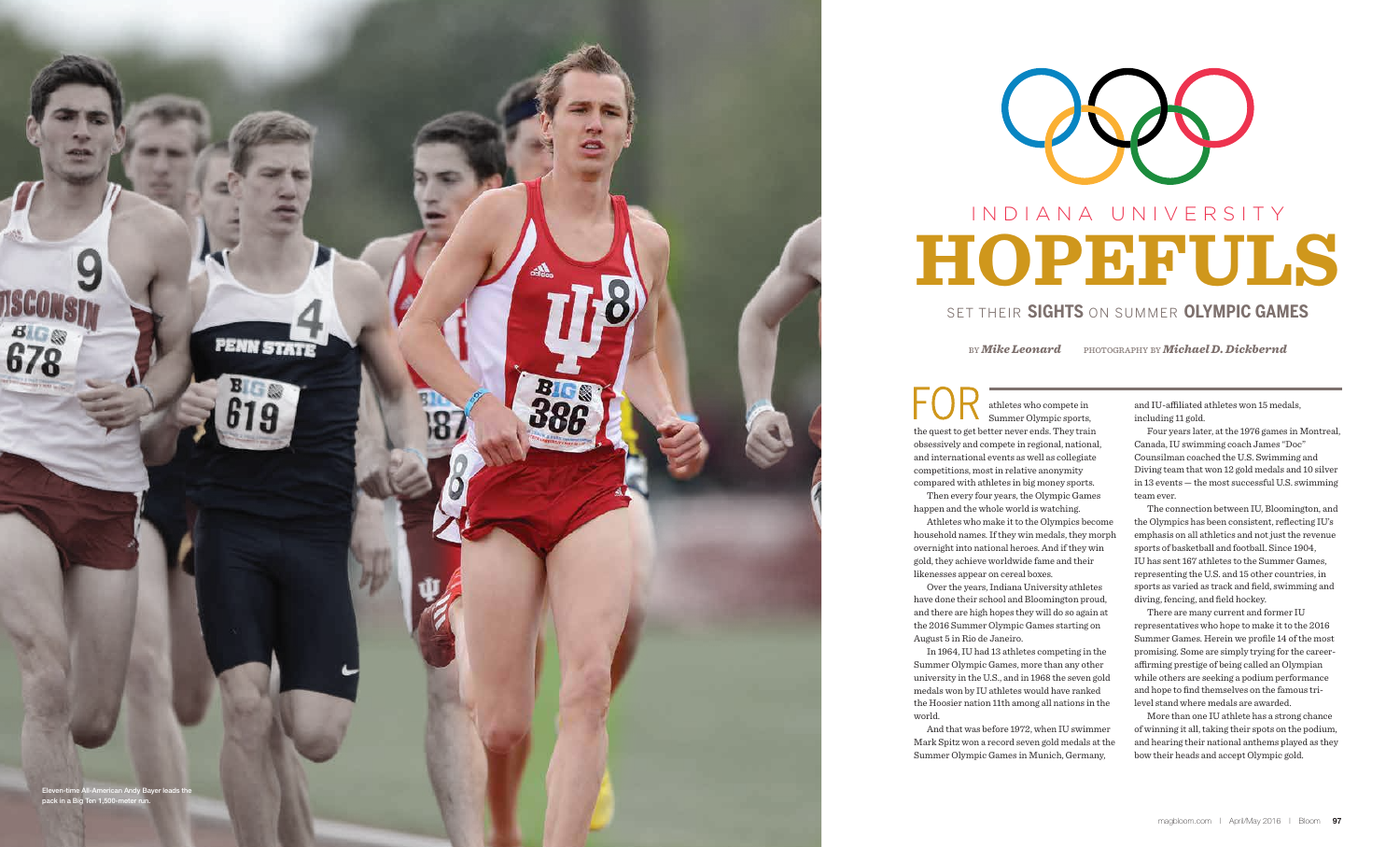athletes who compete in Summer Olympic sports, the quest to get better never ends. They train obsessively and compete in regional, national, and international events as well as collegiate competitions, most in relative anonymity compared with athletes in big money sports. Then every four years, the Olympic Games happen and the whole world is watching. Athletes who make it to the Olympics become household names. If they win medals, they morph overnight into national heroes. And if they win gold, they achieve worldwide fame and their likenesses appear on cereal boxes.

Over the years, Indiana University athletes have done their school and Bloomington proud, and there are high hopes they will do so again at the 2016 Summer Olympic Games starting on August 5 in Rio de Janeiro.

In 1964, IU had 13 athletes competing in the Summer Olympic Games, more than any other university in the U.S., and in 1968 the seven gold medals won by IU athletes would have ranked the Hoosier nation 11th among all nations in the world.

And that was before 1972, when IU swimmer Mark Spitz won a record seven gold medals at the Summer Olympic Games in Munich, Germany,

and IU-affiliated athletes won 15 medals, including 11 gold.





Four years later, at the 1976 games in Montreal, Canada, IU swimming coach James "Doc" Counsilman coached the U.S. Swimming and Diving team that won 12 gold medals and 10 silver in 13 events — the most successful U.S. swimming team ever.

The connection between IU, Bloomington, and the Olympics has been consistent, reflecting IU's emphasis on all athletics and not just the revenue sports of basketball and football. Since 1904, IU has sent 167 athletes to the Summer Games, representing the U.S. and 15 other countries, in sports as varied as track and field, swimming and diving, fencing, and field hockey.

There are many current and former IU representatives who hope to make it to the 2016 Summer Games. Herein we profile 14 of the most promising. Some are simply trying for the careeraffirming prestige of being called an Olympian while others are seeking a podium performance and hope to find themselves on the famous trilevel stand where medals are awarded.

More than one IU athlete has a strong chance of winning it all, taking their spots on the podium, and hearing their national anthems played as they bow their heads and accept Olympic gold.

by *Mike Leonard* photography by *Michael D. Dickbernd*



#### Set Their **Sight s** on Summer **Olympic Game s**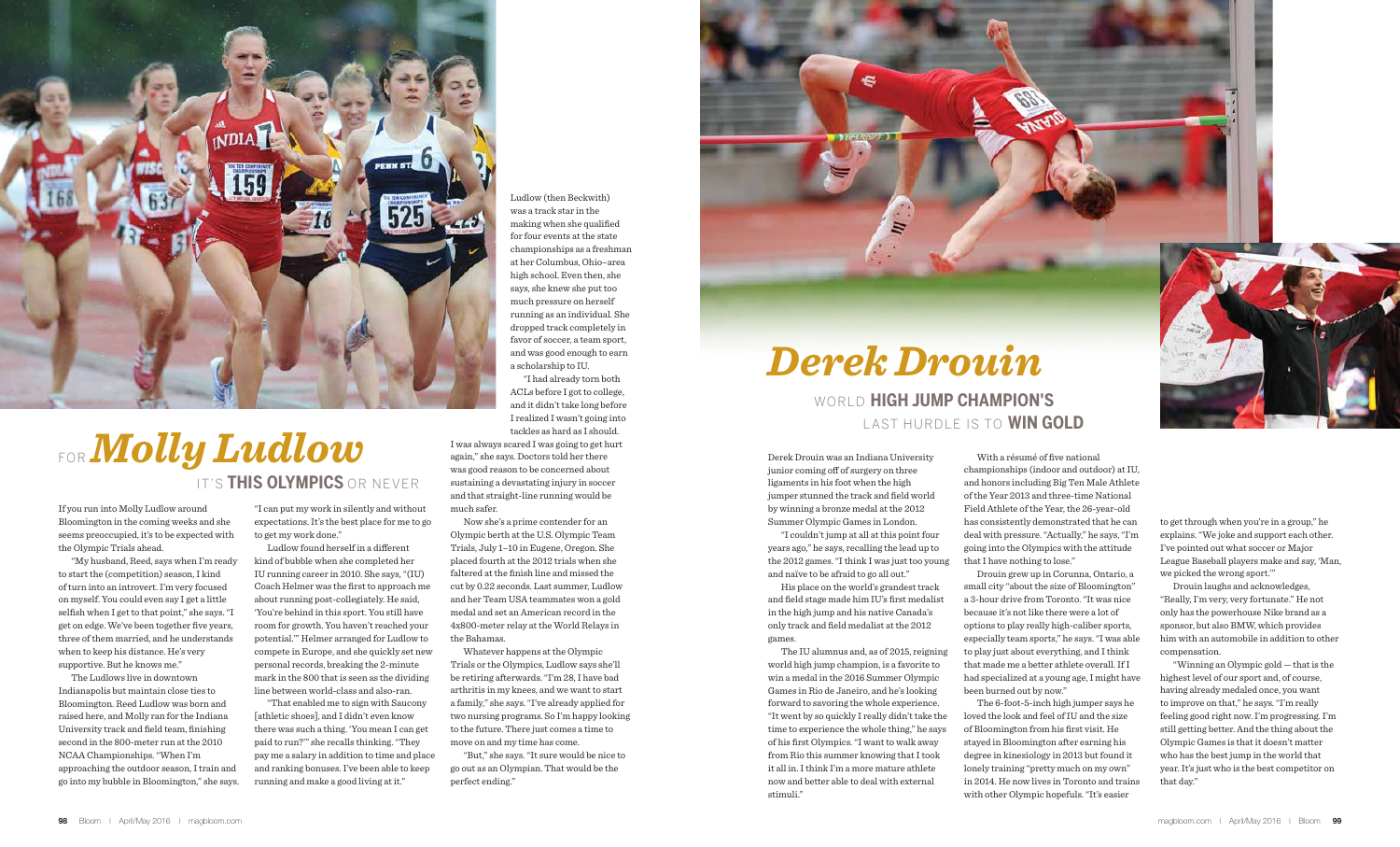If you run into Molly Ludlow around Bloomington in the coming weeks and she seems preoccupied, it's to be expected with the Olympic Trials ahead.

"My husband, Reed, says when I'm ready to start the (competition) season, I kind of turn into an introvert. I'm very focused on myself. You could even say I get a little selfish when I get to that point," she says. "I get on edge. We've been together five years, three of them married, and he understands when to keep his distance. He's very supportive. But he knows me."

The Ludlows live in downtown Indianapolis but maintain close ties to Bloomington. Reed Ludlow was born and raised here, and Molly ran for the Indiana University track and field team, finishing second in the 800-meter run at the 2010 NCAA Championships. "When I'm approaching the outdoor season, I train and go into my bubble in Bloomington," she says.

"I can put my work in silently and without expectations. It's the best place for me to go to get my work done."

Ludlow found herself in a different kind of bubble when she completed her IU running career in 2010. She says, "(IU) Coach Helmer was the first to approach me about running post-collegiately. He said, 'You're behind in this sport. You still have room for growth. You haven't reached your potential.'" Helmer arranged for Ludlow to compete in Europe, and she quickly set new personal records, breaking the 2-minute mark in the 800 that is seen as the dividing line between world-class and also-ran.

"That enabled me to sign with Saucony [athletic shoes], and I didn't even know there was such a thing. 'You mean I can get paid to run?'" she recalls thinking. "They pay me a salary in addition to time and place and ranking bonuses. I've been able to keep running and make a good living at it."

Ludlow (then Beckwith) was a track star in the making when she qualified for four events at the state championships as a freshman at her Columbus, Ohio–area high school. Even then, she says, she knew she put too much pressure on herself running as an individual. She dropped track completely in favor of soccer, a team sport, and was good enough to earn a scholarship to IU.

"I had already torn both ACLs before I got to college, and it didn't take long before I realized I wasn't going into tackles as hard as I should.

I was always scared I was going to get hurt again," she says. Doctors told her there was good reason to be concerned about sustaining a devastating injury in soccer and that straight-line running would be much safer.

Now she's a prime contender for an Olympic berth at the U.S. Olympic Team Trials, July 1–10 in Eugene, Oregon. She placed fourth at the 2012 trials when she faltered at the finish line and missed the cut by 0.22 seconds. Last summer, Ludlow and her Team USA teammates won a gold medal and set an American record in the 4x800-meter relay at the World Relays in the Bahamas.

Whatever happens at the Olympic Trials or the Olympics, Ludlow says she'll be retiring afterwards. "I'm 28, I have bad arthritis in my knees, and we want to start a family," she says. "I've already applied for two nursing programs. So I'm happy looking to the future. There just comes a time to move on and my time has come.

"But," she says. "It sure would be nice to go out as an Olympian. That would be the perfect ending."



# For*Molly Ludlow* It's **This Olympics** or Never

Derek Drouin was an Indiana University junior coming off of surgery on three ligaments in his foot when the high jumper stunned the track and field world by winning a bronze medal at the 2012 Summer Olympic Games in London.

"I couldn't jump at all at this point four years ago," he says, recalling the lead up to the 2012 games. "I think I was just too young and naïve to be afraid to go all out."

His place on the world's grandest track and field stage made him IU's first medalist in the high jump and his native Canada's only track and field medalist at the 2012 games.

The IU alumnus and, as of 2015, reigning world high jump champion, is a favorite to win a medal in the 2016 Summer Olympic Games in Rio de Janeiro, and he's looking forward to savoring the whole experience. "It went by so quickly I really didn't take the time to experience the whole thing," he says of his first Olympics. "I want to walk away from Rio this summer knowing that I took it all in. I think I'm a more mature athlete

now and better able to deal with external

stimuli."

With a résumé of five national championships (indoor and outdoor) at IU, and honors including Big Ten Male Athlete of the Year 2013 and three-time National Field Athlete of the Year, the 26-year-old has consistently demonstrated that he can deal with pressure. "Actually," he says, "I'm going into the Olympics with the attitude that I have nothing to lose."

Drouin grew up in Corunna, Ontario, a small city "about the size of Bloomington" a 3-hour drive from Toronto. "It was nice because it's not like there were a lot of options to play really high-caliber sports, especially team sports," he says. "I was able to play just about everything, and I think that made me a better athlete overall. If I had specialized at a young age, I might have been burned out by now."

The 6-foot-5-inch high jumper says he loved the look and feel of IU and the size of Bloomington from his first visit. He stayed in Bloomington after earning his degree in kinesiology in 2013 but found it lonely training "pretty much on my own" in 2014. He now lives in Toronto and trains with other Olympic hopefuls. "It's easier

to get through when you're in a group," he explains. "We joke and support each other. I've pointed out what soccer or Major League Baseball players make and say, 'Man, we picked the wrong sport.'"

Drouin laughs and acknowledges, "Really, I'm very, very fortunate." He not only has the powerhouse Nike brand as a sponsor, but also BMW, which provides him with an automobile in addition to other compensation.

"Winning an Olympic gold — that is the highest level of our sport and, of course, having already medaled once, you want to improve on that," he says. "I'm really feeling good right now. I'm progressing. I'm still getting better. And the thing about the Olympic Games is that it doesn't matter who has the best jump in the world that year. It's just who is the best competitor on that day."

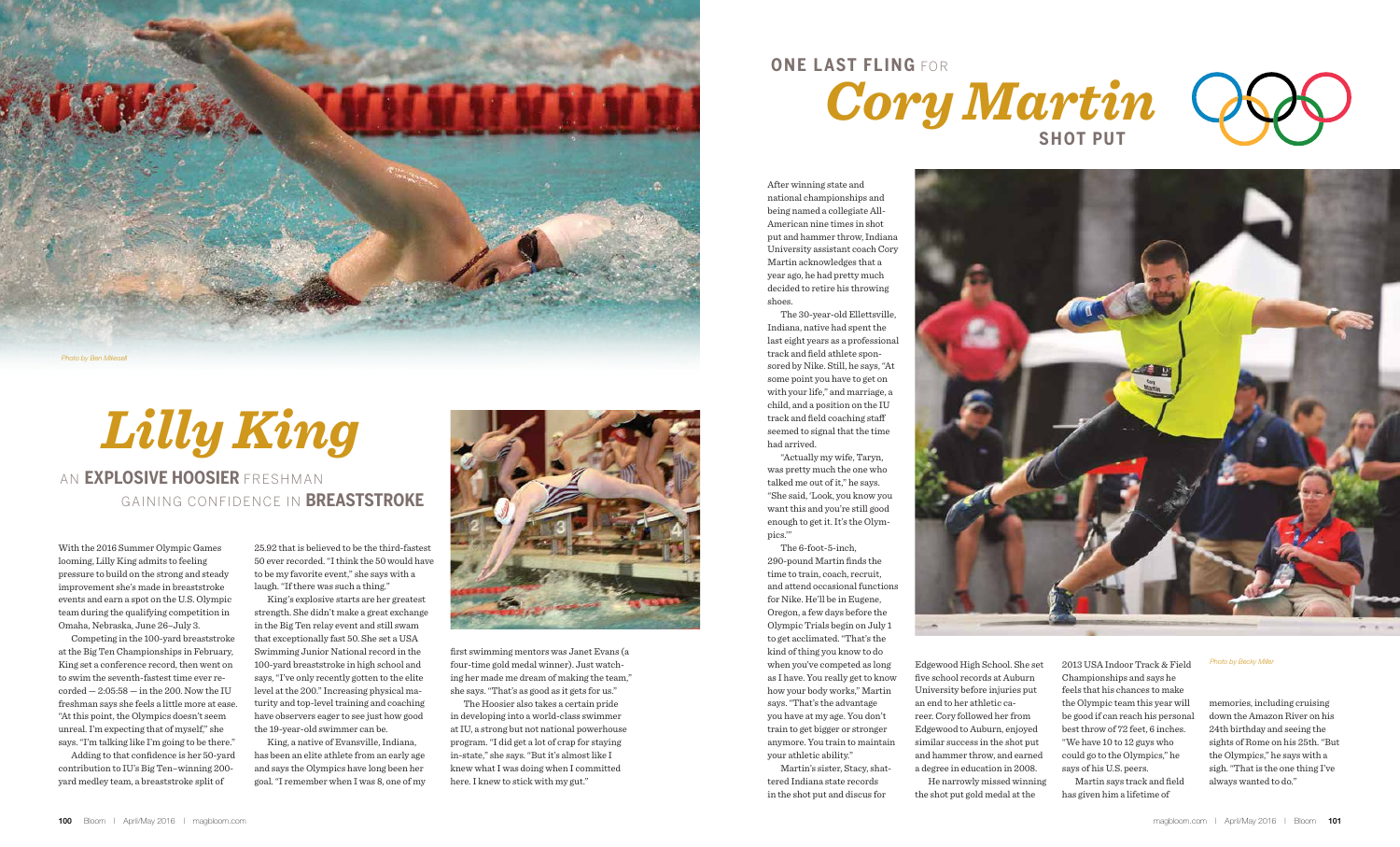With the 2016 Summer Olympic Games looming, Lilly King admits to feeling pressure to build on the strong and steady improvement she's made in breaststroke events and earn a spot on the U.S. Olympic team during the qualifying competition in Omaha, Nebraska, June 26–July 3.

Competing in the 100-yard breaststroke at the Big Ten Championships in February, King set a conference record, then went on to swim the seventh-fastest time ever re- $\text{corded} - 2:05:58 - \text{in the } 200$ . Now the IU freshman says she feels a little more at ease. "At this point, the Olympics doesn't seem unreal. I'm expecting that of myself," she says. "I'm talking like I'm going to be there."

Adding to that confidence is her 50-yard contribution to IU's Big Ten–winning 200 yard medley team, a breaststroke split of

25.92 that is believed to be the third-fastest 50 ever recorded. "I think the 50 would have to be my favorite event," she says with a laugh. "If there was such a thing."

King's explosive starts are her greatest strength. She didn't make a great exchange in the Big Ten relay event and still swam that exceptionally fast 50. She set a USA Swimming Junior National record in the 100-yard breaststroke in high school and says, "I've only recently gotten to the elite level at the 200." Increasing physical maturity and top-level training and coaching have observers eager to see just how good the 19-year-old swimmer can be.

King, a native of Evansville, Indiana, has been an elite athlete from an early age and says the Olympics have long been her goal. "I remember when I was 8, one of my



*Lilly King*

## An **Explosive Hoosier** Freshman Gaining Confidence in **Breaststroke**

first swimming mentors was Janet Evans (a four-time gold medal winner). Just watching her made me dream of making the team," she says. "That's as good as it gets for us."

The Hoosier also takes a certain pride in developing into a world-class swimmer at IU, a strong but not national powerhouse program. "I did get a lot of crap for staying in-state," she says. "But it's almost like I knew what I was doing when I committed here. I knew to stick with my gut."



After winning state and national championships and being named a collegiate All-American nine times in shot put and hammer throw, Indiana University assistant coach Cory Martin acknowledges that a year ago, he had pretty much decided to retire his throwing shoes.

The 30-year-old Ellettsville, Indiana, native had spent the last eight years as a professional track and field athlete sponsored by Nike. Still, he says, "At some point you have to get on with your life," and marriage, a child, and a position on the IU track and field coaching staff seemed to signal that the time had arrived.

"Actually my wife, Taryn, was pretty much the one who talked me out of it," he says. "She said, 'Look, you know you want this and you're still good enough to get it. It's the Olympics.'"

The 6-foot-5-inch, 290-pound Martin finds the time to train, coach, recruit, and attend occasional functions for Nike. He'll be in Eugene, Oregon, a few days before the Olympic Trials begin on July 1 to get acclimated. "That's the kind of thing you know to do when you've competed as long as I have. You really get to know how your body works," Martin says. "That's the advantage you have at my age. You don't train to get bigger or stronger anymore. You train to maintain your athletic ability."

Martin's sister, Stacy, shattered Indiana state records in the shot put and discus for

Edgewood High School. She set five school records at Auburn University before injuries put reer. Cory followed her from Edgewood to Auburn, enjoyed similar success in the shot put and hammer throw, and earned a degree in education in 2008. He narrowly missed winning the shot put gold medal at the

2013 USA Indoor Track & Field Championships and says he feels that his chances to make the Olympic team this year will be good if can reach his personal best throw of 72 feet, 6 inches. "We have 10 to 12 guys who could go to the Olympics," he says of his U.S. peers.

Martin says track and field has given him a lifetime of

memories, including cruising down the Amazon River on his 24th birthday and seeing the sights of Rome on his 25th. "But the Olympics," he says with a sigh. "That is the one thing I've always wanted to do."



# **One Last Fling** For



### *Photo by Becky Miller*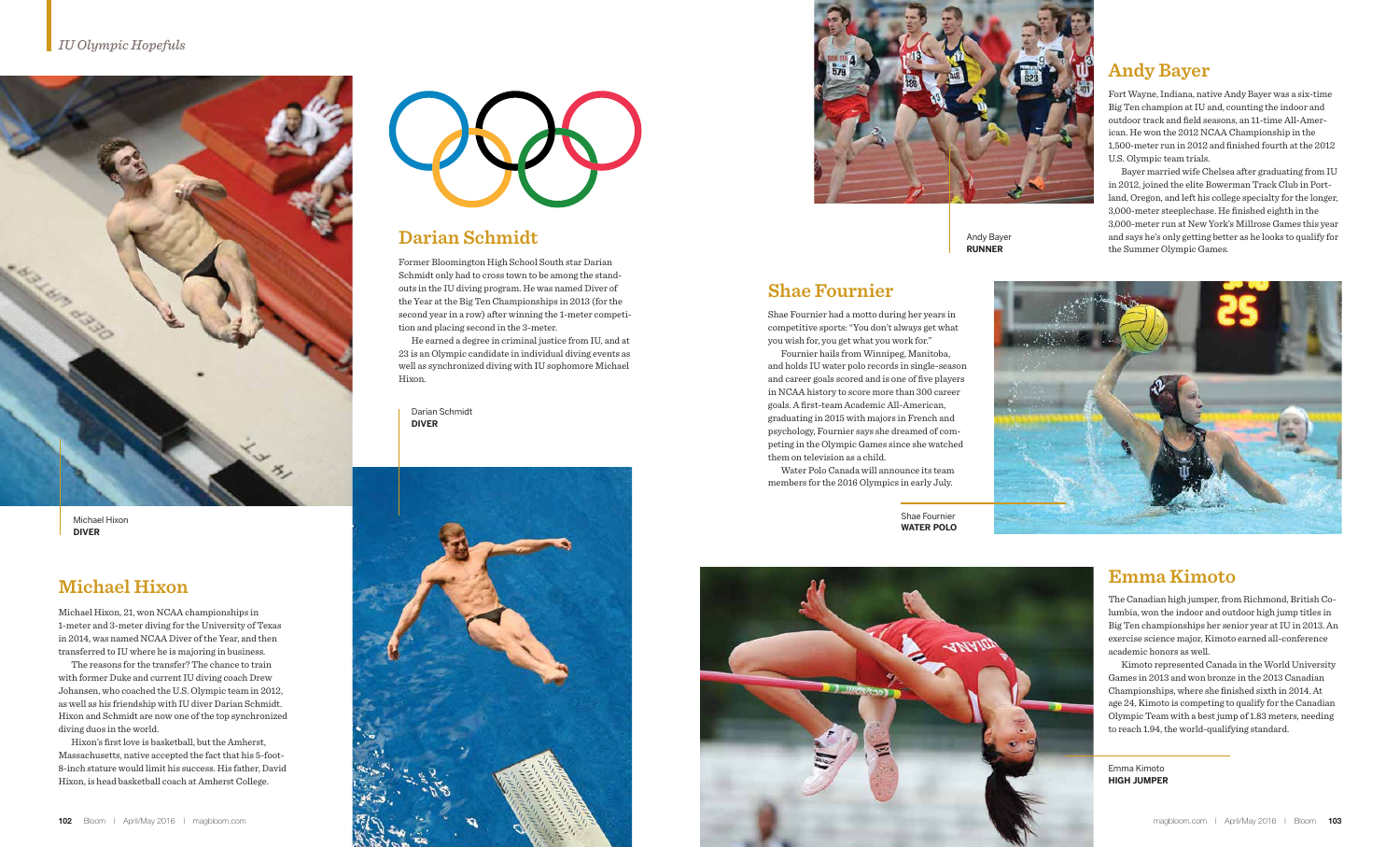

Michael Hixon, 21, won NCAA championships in 1-meter and 3-meter diving for the University of Texas in 2014, was named NCAA Diver of the Year, and then transferred to IU where he is majoring in business.

The reasons for the transfer? The chance to train with former Duke and current IU diving coach Drew Johansen, who coached the U.S. Olympic team in 2012, as well as his friendship with IU diver Darian Schmidt. Hixon and Schmidt are now one of the top synchronized diving duos in the world.

Hixon's first love is basketball, but the Amherst, Massachusetts, native accepted the fact that his 5-foot-8-inch stature would limit his success. His father, David Hixon, is head basketball coach at Amherst College.



Former Bloomington High School South star Darian Schmidt only had to cross town to be among the standouts in the IU diving program. He was named Diver of the Year at the Big Ten Championships in 2013 (for the second year in a row) after winning the 1-meter competition and placing second in the 3-meter.

He earned a degree in criminal justice from IU, and at 23 is an Olympic candidate in individual diving events as well as synchronized diving with IU sophomore Michael Hixon.

## **Michael Hixon**

## **Darian Schmidt**

Darian Schmidt **DIVER**







Fort Wayne, Indiana, native Andy Bayer was a six-time Big Ten champion at IU and, counting the indoor and outdoor track and field seasons, an 11-time All-American. He won the 2012 NCAA Championship in the 1,500-meter run in 2012 and finished fourth at the 2012 U.S. Olympic team trials.

Bayer married wife Chelsea after graduating from IU in 2012, joined the elite Bowerman Track Club in Portland, Oregon, and left his college specialty for the longer, 3,000-meter steeplechase. He finished eighth in the 3,000-meter run at New York's Millrose Games this year and says he's only getting better as he looks to qualify for the Summer Olympic Games.



The Canadian high jumper, from Richmond, British Columbia, won the indoor and outdoor high jump titles in Big Ten championships her senior year at IU in 2013. An exercise science major, Kimoto earned all-conference academic honors as well.

Kimoto represented Canada in the World University Games in 2013 and won bronze in the 2013 Canadian Championships, where she finished sixth in 2014. At age 24, Kimoto is competing to qualify for the Canadian Olympic Team with a best jump of 1.83 meters, needing to reach 1.94, the world-qualifying standard.

## Andy Bayer **RUNNER**

## **Andy Bayer**

## **Emma Kimoto**

Shae Fournier had a motto during her years in competitive sports: "You don't always get what you wish for, you get what you work for."

Fournier hails from Winnipeg, Manitoba, and holds IU water polo records in single-season and career goals scored and is one of five players in NCAA history to score more than 300 career goals. A first-team Academic All-American, graduating in 2015 with majors in French and psychology, Fournier says she dreamed of competing in the Olympic Games since she watched them on television as a child.

Water Polo Canada will announce its team members for the 2016 Olympics in early July.

## **Shae Fournier**

Shae Fournier **Water Polo**

> Emma Kimoto **High jumper**

Michael Hixon **DIVER**